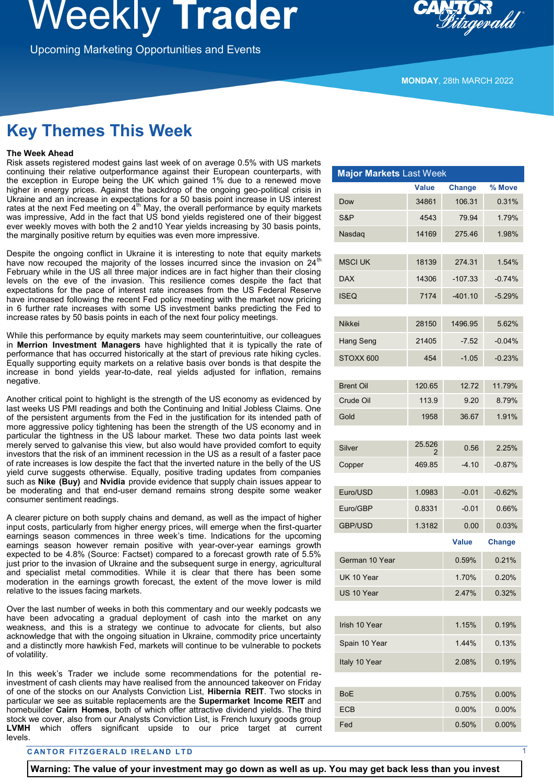## **Weekly Irader**

Upcoming Marketing Opportunities and Events

**MONDAY**, 28th MARCH 2022

## **Key Themes This Week**

#### **The Week Ahead**

Risk assets registered modest gains last week of on average 0.5% with US markets continuing their relative outperformance against their European counterparts, with the exception in Europe being the UK which gained 1% due to a renewed move higher in energy prices. Against the backdrop of the ongoing geo-political crisis in Ukraine and an increase in expectations for a 50 basis point increase in US interest rates at the next Fed meeting on  $4<sup>th</sup>$  May, the overall performance by equity markets was impressive, Add in the fact that US bond yields registered one of their biggest ever weekly moves with both the 2 and10 Year yields increasing by 30 basis points, the marginally positive return by equities was even more impressive.

Despite the ongoing conflict in Ukraine it is interesting to note that equity markets have now recouped the majority of the losses incurred since the invasion on  $24<sup>th</sup>$ February while in the US all three major indices are in fact higher than their closing levels on the eve of the invasion. This resilience comes despite the fact that expectations for the pace of interest rate increases from the US Federal Reserve have increased following the recent Fed policy meeting with the market now pricing in 6 further rate increases with some US investment banks predicting the Fed to increase rates by 50 basis points in each of the next four policy meetings.

While this performance by equity markets may seem counterintuitive, our colleagues in **Merrion Investment Managers** have highlighted that it is typically the rate of performance that has occurred historically at the start of previous rate hiking cycles. Equally supporting equity markets on a relative basis over bonds is that despite the increase in bond yields year-to-date, real yields adjusted for inflation, remains negative.

Another critical point to highlight is the strength of the US economy as evidenced by last weeks US PMI readings and both the Continuing and Initial Jobless Claims. One of the persistent arguments from the Fed in the justification for its intended path of more aggressive policy tightening has been the strength of the US economy and in particular the tightness in the US labour market. These two data points last week merely served to galvanise this view, but also would have provided comfort to equity investors that the risk of an imminent recession in the US as a result of a faster pace of rate increases is low despite the fact that the inverted nature in the belly of the US yield curve suggests otherwise. Equally, positive trading updates from companies such as **Nike (Buy)** and **Nvidia** provide evidence that supply chain issues appear to be moderating and that end-user demand remains strong despite some weaker consumer sentiment readings.

A clearer picture on both supply chains and demand, as well as the impact of higher input costs, particularly from higher energy prices, will emerge when the first-quarter earnings season commences in three week's time. Indications for the upcoming earnings season however remain positive with year-over-year earnings growth expected to be 4.8% (Source: Factset) compared to a forecast growth rate of 5.5% just prior to the invasion of Ukraine and the subsequent surge in energy, agricultural and specialist metal commodities. While it is clear that there has been some moderation in the earnings growth forecast, the extent of the move lower is mild relative to the issues facing markets.

Over the last number of weeks in both this commentary and our weekly podcasts we have been advocating a gradual deployment of cash into the market on any weakness, and this is a strategy we continue to advocate for clients, but also acknowledge that with the ongoing situation in Ukraine, commodity price uncertainty and a distinctly more hawkish Fed, markets will continue to be vulnerable to pockets of volatility.

In this week's Trader we include some recommendations for the potential reinvestment of cash clients may have realised from the announced takeover on Friday of one of the stocks on our Analysts Conviction List, **Hibernia REIT**. Two stocks in particular we see as suitable replacements are the **Supermarket Income REIT** and homebuilder **Cairn Homes**, both of which offer attractive dividend yields. The third stock we cover, also from our Analysts Conviction List, is French luxury goods group **LVMH** which offers significant upside to our price target at current levels.

#### **CANTOR FITZGERALD IRELAND LTD**

| <b>Major Markets Last Week</b> |              |               |               |
|--------------------------------|--------------|---------------|---------------|
|                                | <b>Value</b> | <b>Change</b> | % Move        |
| Dow                            | 34861        | 106.31        | 0.31%         |
| S&P                            | 4543         | 79.94         | 1.79%         |
| Nasdaq                         | 14169        | 275.46        | 1.98%         |
|                                |              |               |               |
| <b>MSCI UK</b>                 | 18139        | 274.31        | 1.54%         |
| <b>DAX</b>                     | 14306        | $-107.33$     | $-0.74%$      |
| <b>ISEQ</b>                    | 7174         | $-401.10$     | $-5.29%$      |
| <b>Nikkei</b>                  | 28150        | 1496.95       | 5.62%         |
| Hang Seng                      | 21405        | $-7.52$       | $-0.04%$      |
|                                | 454          | $-1.05$       | $-0.23%$      |
| STOXX 600                      |              |               |               |
| <b>Brent Oil</b>               | 120.65       | 12.72         | 11.79%        |
| Crude Oil                      | 113.9        | 9.20          | 8.79%         |
| Gold                           | 1958         | 36.67         | 1.91%         |
|                                |              |               |               |
| Silver                         | 25.526<br>2  | 0.56          | 2.25%         |
| Copper                         | 469.85       | $-4.10$       | $-0.87%$      |
|                                |              |               |               |
| Euro/USD                       | 1.0983       | $-0.01$       | $-0.62%$      |
| Euro/GBP                       | 0.8331       | $-0.01$       | 0.66%         |
| <b>GBP/USD</b>                 | 1.3182       | 0.00          | 0.03%         |
|                                |              | <b>Value</b>  | <b>Change</b> |
| German 10 Year                 |              | 0.59%         | 0.21%         |
| UK 10 Year                     |              | 1.70%         | 0.20%         |
| US 10 Year                     |              | 2.47%         | 0.32%         |
|                                |              |               |               |
| Irish 10 Year                  |              | 1.15%         | 0.19%         |
| Spain 10 Year                  |              | 1.44%         | 0.13%         |
| Italy 10 Year                  |              | 2.08%         | 0.19%         |
|                                |              |               |               |
| <b>BoE</b>                     |              | 0.75%         | 0.00%         |
| ECB                            |              | 0.00%         | 0.00%         |

Fed 0.50% 0.00%

**Warning: The value of your investment may go down as well as up. You may get back less than you invest**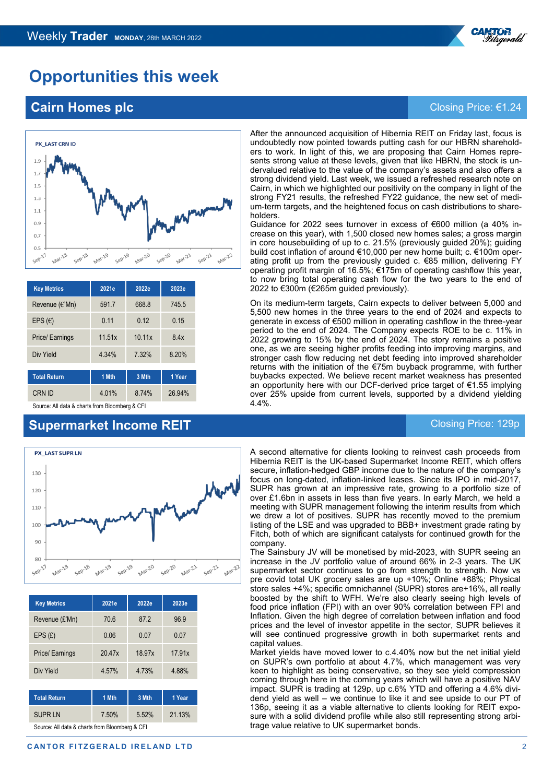

## **Opportunities this week**

## **Cairn Homes plc** Closing Price: €1.24



| <b>Key Metrics</b>                             | 2021e  | 2022e  | 2023e  |  |  |
|------------------------------------------------|--------|--------|--------|--|--|
| Revenue $(\in$ 'Mn)                            | 591.7  | 668.8  | 745.5  |  |  |
| EPS $(\epsilon)$                               | 0.11   | 0.12   | 0.15   |  |  |
| Price/ Earnings                                | 11.51x | 10.11x | 8.4x   |  |  |
| Div Yield                                      | 4.34%  | 7.32%  | 8.20%  |  |  |
| 1 Mth<br>3 Mth<br>1 Year                       |        |        |        |  |  |
| <b>Total Return</b>                            |        |        |        |  |  |
| <b>CRN ID</b>                                  | 4.01%  | 8.74%  | 26.94% |  |  |
| Source: All data & charts from Bloomberg & CFI |        |        |        |  |  |

## **Supermarket Income REIT Closing Price: 129p** Closing Price: 129p



| <b>Key Metrics</b> | 2021e  | 2022e  | 2023e  |
|--------------------|--------|--------|--------|
| Revenue (£'Mn)     | 70.6   | 87.2   | 96.9   |
| EPS(E)             | 0.06   | 0.07   | 0.07   |
| Price/ Earnings    | 20.47x | 18.97x | 17.91x |
| Div Yield          | 4.57%  | 4.73%  | 4.88%  |

| <b>Total Return</b>                            | 1 Mth | 3 Mth | 1 Year |  |
|------------------------------------------------|-------|-------|--------|--|
| <b>SUPRLN</b>                                  | 7.50% | 5.52% | 21.13% |  |
| Course: All data & charts from Ploomborg & CEL |       |       |        |  |

Source: All data & charts from Bloomberg & CFI

After the announced acquisition of Hibernia REIT on Friday last, focus is undoubtedly now pointed towards putting cash for our HBRN shareholders to work. In light of this, we are proposing that Cairn Homes represents strong value at these levels, given that like HBRN, the stock is undervalued relative to the value of the company's assets and also offers a strong dividend yield. Last week, we issued a refreshed research note on Cairn, in which we highlighted our positivity on the company in light of the strong FY21 results, the refreshed FY22 guidance, the new set of medium-term targets, and the heightened focus on cash distributions to shareholders.

Guidance for 2022 sees turnover in excess of €600 million (a 40% increase on this year), with 1,500 closed new homes sales; a gross margin in core housebuilding of up to c. 21.5% (previously guided 20%); guiding build cost inflation of around €10,000 per new home built; c. €100m operating profit up from the previously guided c. €85 million, delivering FY operating profit margin of 16.5%; €175m of operating cashflow this year, to now bring total operating cash flow for the two years to the end of 2022 to €300m (€265m guided previously).

On its medium-term targets, Cairn expects to deliver between 5,000 and 5,500 new homes in the three years to the end of 2024 and expects to generate in excess of €500 million in operating cashflow in the three-year period to the end of 2024. The Company expects ROE to be c. 11% in 2022 growing to 15% by the end of 2024. The story remains a positive one, as we are seeing higher profits feeding into improving margins, and stronger cash flow reducing net debt feeding into improved shareholder returns with the initiation of the €75m buyback programme, with further buybacks expected. We believe recent market weakness has presented an opportunity here with our DCF-derived price target of €1.55 implying over 25% upside from current levels, supported by a dividend yielding 4.4%.

A second alternative for clients looking to reinvest cash proceeds from Hibernia REIT is the UK-based Supermarket Income REIT, which offers secure, inflation-hedged GBP income due to the nature of the company's focus on long-dated, inflation-linked leases. Since its IPO in mid-2017, SUPR has grown at an impressive rate, growing to a portfolio size of over £1.6bn in assets in less than five years. In early March, we held a meeting with SUPR management following the interim results from which we drew a lot of positives. SUPR has recently moved to the premium listing of the LSE and was upgraded to BBB+ investment grade rating by Fitch, both of which are significant catalysts for continued growth for the company.

The Sainsbury JV will be monetised by mid-2023, with SUPR seeing an increase in the JV portfolio value of around 66% in 2-3 years. The UK supermarket sector continues to go from strength to strength. Now vs pre covid total UK grocery sales are up +10%; Online +88%; Physical store sales +4%; specific omnichannel (SUPR) stores are+16%, all really boosted by the shift to WFH. We're also clearly seeing high levels of food price inflation (FPI) with an over 90% correlation between FPI and Inflation. Given the high degree of correlation between inflation and food prices and the level of investor appetite in the sector, SUPR believes it will see continued progressive growth in both supermarket rents and capital values.

Market yields have moved lower to c.4.40% now but the net initial yield on SUPR's own portfolio at about 4.7%, which management was very keen to highlight as being conservative, so they see yield compression coming through here in the coming years which will have a positive NAV impact. SUPR is trading at 129p, up c.6% YTD and offering a 4.6% dividend yield as well – we continue to like it and see upside to our PT of 136p, seeing it as a viable alternative to clients looking for REIT exposure with a solid dividend profile while also still representing strong arbitrage value relative to UK supermarket bonds.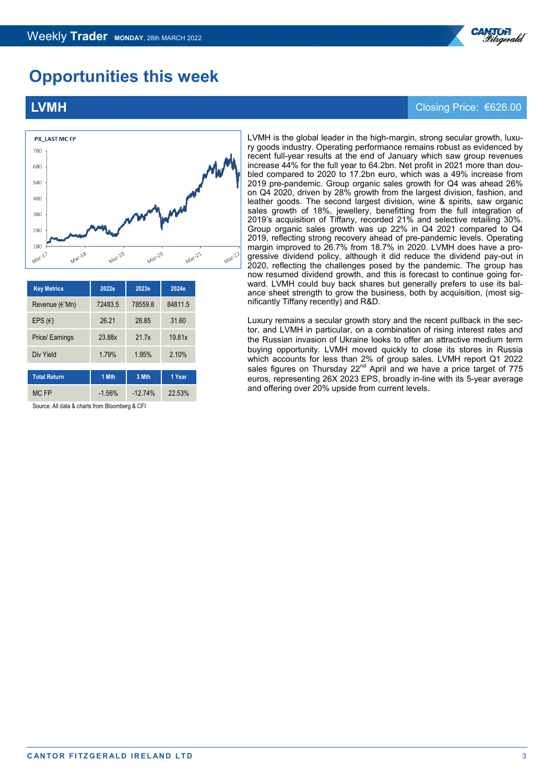

## **Opportunities this week**



| <b>Key Metrics</b>  | 2022e    | 2023e     | 2024e   |  |
|---------------------|----------|-----------|---------|--|
| Revenue $(\in$ 'Mn) | 72483.5  | 78559.8   | 84811.5 |  |
| EPS $(\epsilon)$    | 26 21    | 28.85     | 31.60   |  |
| Price/ Earnings     | 23.88x   | 21.7x     | 19.81x  |  |
| Div Yield           | 1.79%    | 1.95%     | 2.10%   |  |
| <b>Total Return</b> | 1 Mth    | 3 Mth     | 1 Year  |  |
| MC FP               | $-1.56%$ | $-12.74%$ | 22.53%  |  |

Source: All data & charts from Bloomberg & CFI

#### LVMH is the global leader in the high-margin, strong secular growth, luxury goods industry. Operating performance remains robust as evidenced by recent full-year results at the end of January which saw group revenues increase 44% for the full year to 64.2bn. Net profit in 2021 more than doubled compared to 2020 to 17.2bn euro, which was a 49% increase from 2019 pre-pandemic. Group organic sales growth for Q4 was ahead 26% on Q4 2020, driven by 28% growth from the largest division, fashion, and leather goods. The second largest division, wine & spirits, saw organic sales growth of 18%, jewellery, benefitting from the full integration of 2019's acquisition of Tiffany, recorded 21% and selective retailing 30%. Group organic sales growth was up 22% in Q4 2021 compared to Q4 2019, reflecting strong recovery ahead of pre-pandemic levels. Operating margin improved to 26.7% from 18.7% in 2020. LVMH does have a progressive dividend policy, although it did reduce the dividend pay-out in 2020, reflecting the challenges posed by the pandemic. The group has now resumed dividend growth, and this is forecast to continue going forward. LVMH could buy back shares but generally prefers to use its balance sheet strength to grow the business, both by acquisition, (most significantly Tiffany recently) and R&D.

Luxury remains a secular growth story and the recent pullback in the sector, and LVMH in particular, on a combination of rising interest rates and the Russian invasion of Ukraine looks to offer an attractive medium term buying opportunity. LVMH moved quickly to close its stores in Russia which accounts for less than 2% of group sales. LVMH report Q1 2022 sales figures on Thursday 22<sup>nd</sup> April and we have a price target of 775 euros, representing 26X 2023 EPS, broadly in-line with its 5-year average and offering over 20% upside from current levels.

### **LVMH** Closing Price: €626.00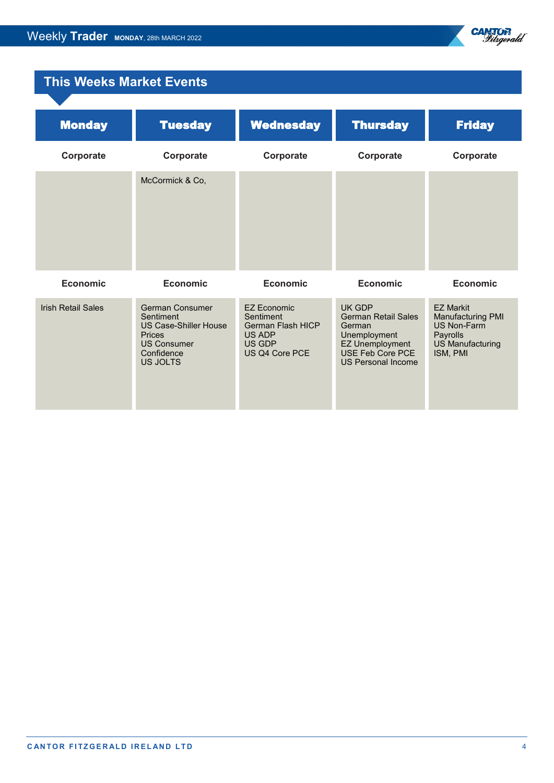

## **This Weeks Market Events**

| <b>Monday</b>             | <b>Tuesday</b>                                                                                                                | <b>Wednesday</b>                                                                           | <b>Thursday</b>                                                                                                                           | <b>Friday</b>                                                                                                  |
|---------------------------|-------------------------------------------------------------------------------------------------------------------------------|--------------------------------------------------------------------------------------------|-------------------------------------------------------------------------------------------------------------------------------------------|----------------------------------------------------------------------------------------------------------------|
| Corporate                 | Corporate                                                                                                                     | Corporate                                                                                  | Corporate                                                                                                                                 | Corporate                                                                                                      |
|                           | McCormick & Co,                                                                                                               |                                                                                            |                                                                                                                                           |                                                                                                                |
| <b>Economic</b>           | <b>Economic</b>                                                                                                               | <b>Economic</b>                                                                            | <b>Economic</b>                                                                                                                           | <b>Economic</b>                                                                                                |
| <b>Irish Retail Sales</b> | German Consumer<br>Sentiment<br><b>US Case-Shiller House</b><br><b>Prices</b><br><b>US Consumer</b><br>Confidence<br>US JOLTS | <b>EZ Economic</b><br>Sentiment<br>German Flash HICP<br>US ADP<br>US GDP<br>US Q4 Core PCE | UK GDP<br><b>German Retail Sales</b><br>German<br>Unemployment<br><b>EZ Unemployment</b><br>USE Feb Core PCE<br><b>US Personal Income</b> | <b>EZ Markit</b><br>Manufacturing PMI<br><b>US Non-Farm</b><br>Payrolls<br><b>US Manufacturing</b><br>ISM, PMI |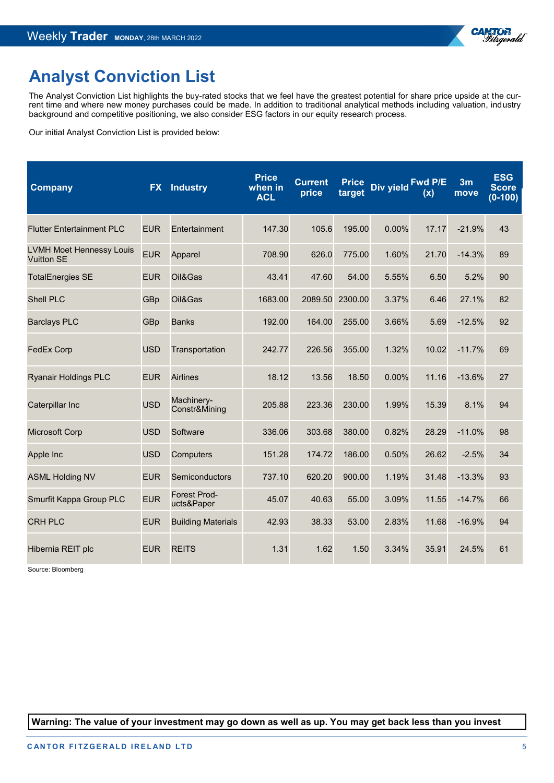

## **Analyst Conviction List**

The Analyst Conviction List highlights the buy-rated stocks that we feel have the greatest potential for share price upside at the current time and where new money purchases could be made. In addition to traditional analytical methods including valuation, industry background and competitive positioning, we also consider ESG factors in our equity research process.

Our initial Analyst Conviction List is provided below:

| <b>Company</b>                                       | <b>FX</b>  | <b>Industry</b>             | <b>Price</b><br>when in<br><b>ACL</b> | <b>Current</b><br>price | <b>Price</b><br>target | Div yield Fwd P/E | (x)   | 3 <sub>m</sub><br>move | <b>ESG</b><br><b>Score</b><br>$(0-100)$ |
|------------------------------------------------------|------------|-----------------------------|---------------------------------------|-------------------------|------------------------|-------------------|-------|------------------------|-----------------------------------------|
| <b>Flutter Entertainment PLC</b>                     | <b>EUR</b> | Entertainment               | 147.30                                | 105.6                   | 195.00                 | 0.00%             | 17.17 | $-21.9%$               | 43                                      |
| <b>LVMH Moet Hennessy Louis</b><br><b>Vuitton SE</b> | <b>EUR</b> | Apparel                     | 708.90                                | 626.0                   | 775.00                 | 1.60%             | 21.70 | $-14.3%$               | 89                                      |
| <b>TotalEnergies SE</b>                              | <b>EUR</b> | Oil&Gas                     | 43.41                                 | 47.60                   | 54.00                  | 5.55%             | 6.50  | 5.2%                   | 90                                      |
| Shell PLC                                            | GBp        | Oil&Gas                     | 1683.00                               | 2089.50                 | 2300.00                | 3.37%             | 6.46  | 27.1%                  | 82                                      |
| <b>Barclays PLC</b>                                  | GBp        | <b>Banks</b>                | 192.00                                | 164.00                  | 255.00                 | 3.66%             | 5.69  | $-12.5%$               | 92                                      |
| <b>FedEx Corp</b>                                    | <b>USD</b> | Transportation              | 242.77                                | 226.56                  | 355.00                 | 1.32%             | 10.02 | $-11.7%$               | 69                                      |
| <b>Ryanair Holdings PLC</b>                          | <b>EUR</b> | <b>Airlines</b>             | 18.12                                 | 13.56                   | 18.50                  | 0.00%             | 11.16 | $-13.6%$               | 27                                      |
| Caterpillar Inc                                      | <b>USD</b> | Machinery-<br>Constr&Mining | 205.88                                | 223.36                  | 230.00                 | 1.99%             | 15.39 | 8.1%                   | 94                                      |
| <b>Microsoft Corp</b>                                | <b>USD</b> | Software                    | 336.06                                | 303.68                  | 380.00                 | 0.82%             | 28.29 | $-11.0%$               | 98                                      |
| Apple Inc                                            | <b>USD</b> | Computers                   | 151.28                                | 174.72                  | 186.00                 | 0.50%             | 26.62 | $-2.5%$                | 34                                      |
| <b>ASML Holding NV</b>                               | <b>EUR</b> | Semiconductors              | 737.10                                | 620.20                  | 900.00                 | 1.19%             | 31.48 | $-13.3%$               | 93                                      |
| Smurfit Kappa Group PLC                              | <b>EUR</b> | Forest Prod-<br>ucts&Paper  | 45.07                                 | 40.63                   | 55.00                  | 3.09%             | 11.55 | $-14.7%$               | 66                                      |
| <b>CRH PLC</b>                                       | <b>EUR</b> | <b>Building Materials</b>   | 42.93                                 | 38.33                   | 53.00                  | 2.83%             | 11.68 | $-16.9%$               | 94                                      |
| Hibernia REIT plc                                    | <b>EUR</b> | <b>REITS</b>                | 1.31                                  | 1.62                    | 1.50                   | 3.34%             | 35.91 | 24.5%                  | 61                                      |

Source: Bloomberg

**Warning: The value of your investment may go down as well as up. You may get back less than you invest**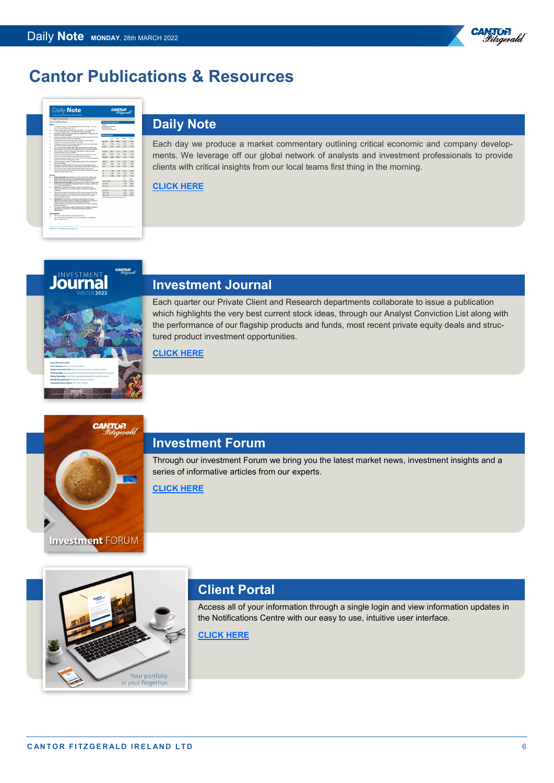



## **[D](https://cantorfitzgerald.ie/research/daily-note/)aily Note**

Each day we produce a market commentary outlining critical economic and company developments. We leverage off our global network of analysts and investment professionals to provide clients with critical insights from our local teams first thing in the morning.

#### **[CLICK HERE](https://cantorfitzgerald.ie/research/daily-note/)**

**CANTOR** 



## **Investment Journal**

Each quarter our Private Client and Research departments collaborate to issue a publication which highlights the very best current stock ideas, through our Analyst Conviction List along with the performance of our flagship products and funds, most recent private equity deals and structured product investment opportunities.

#### **[CLICK HERE](https://cantorfitzgerald.ie/wp-content/uploads/2022/01/Journal-Winter-1-22-LR.pdf)**



## **Investment Forum**

Through our investment Forum we bring you the latest market news, investment insights and a series of informative articles from our experts.

**[CLICK HERE](https://cantorfitzgerald.ie/category/investment-forum/)**

# Your portfolio at your fingertips

## **Client Portal**

Access all of your information through a single login and view information updates in the Notifications Centre with our easy to use, intuitive user interface.

**[CLICK HERE](https://cantorfitzgerald.ie/cantorportal/)**

®<sup>R</sup>

Vitrgerald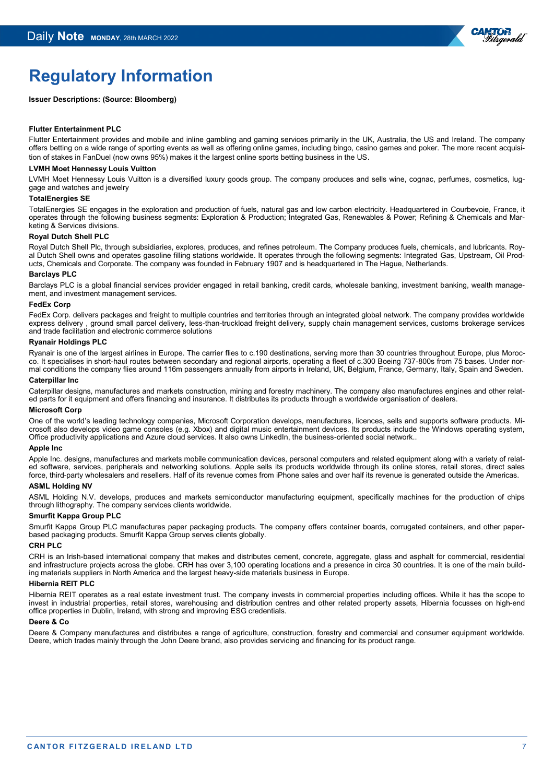

## **Regulatory Information**

#### **Issuer Descriptions: (Source: Bloomberg)**

#### **Flutter Entertainment PLC**

Flutter Entertainment provides and mobile and inline gambling and gaming services primarily in the UK, Australia, the US and Ireland. The company offers betting on a wide range of sporting events as well as offering online games, including bingo, casino games and poker. The more recent acquisition of stakes in FanDuel (now owns 95%) makes it the largest online sports betting business in the US.

#### **LVMH Moet Hennessy Louis Vuitton**

LVMH Moet Hennessy Louis Vuitton is a diversified luxury goods group. The company produces and sells wine, cognac, perfumes, cosmetics, luggage and watches and jewelry

#### **TotalEnergies SE**

TotalEnergies SE engages in the exploration and production of fuels, natural gas and low carbon electricity. Headquartered in Courbevoie, France, it operates through the following business segments: Exploration & Production; Integrated Gas, Renewables & Power; Refining & Chemicals and Marketing & Services divisions.

#### **Royal Dutch Shell PLC**

Royal Dutch Shell Plc, through subsidiaries, explores, produces, and refines petroleum. The Company produces fuels, chemicals, and lubricants. Royal Dutch Shell owns and operates gasoline filling stations worldwide. It operates through the following segments: Integrated Gas, Upstream, Oil Products, Chemicals and Corporate. The company was founded in February 1907 and is headquartered in The Hague, Netherlands.

#### **Barclays PLC**

Barclays PLC is a global financial services provider engaged in retail banking, credit cards, wholesale banking, investment banking, wealth management, and investment management services.

#### **FedEx Corp**

FedEx Corp. delivers packages and freight to multiple countries and territories through an integrated global network. The company provides worldwide express delivery , ground small parcel delivery, less-than-truckload freight delivery, supply chain management services, customs brokerage services and trade facilitation and electronic commerce solutions

#### **Ryanair Holdings PLC**

Ryanair is one of the largest airlines in Europe. The carrier flies to c.190 destinations, serving more than 30 countries throughout Europe, plus Morocco. It specialises in short-haul routes between secondary and regional airports, operating a fleet of c.300 Boeing 737-800s from 75 bases. Under normal conditions the company flies around 116m passengers annually from airports in Ireland, UK, Belgium, France, Germany, Italy, Spain and Sweden.

#### **Caterpillar Inc**

Caterpillar designs, manufactures and markets construction, mining and forestry machinery. The company also manufactures engines and other related parts for it equipment and offers financing and insurance. It distributes its products through a worldwide organisation of dealers.

#### **Microsoft Corp**

One of the world's leading technology companies, Microsoft Corporation develops, manufactures, licences, sells and supports software products. Microsoft also develops video game consoles (e.g. Xbox) and digital music entertainment devices. Its products include the Windows operating system, Office productivity applications and Azure cloud services. It also owns LinkedIn, the business-oriented social network..

#### **Apple Inc**

Apple Inc. designs, manufactures and markets mobile communication devices, personal computers and related equipment along with a variety of related software, services, peripherals and networking solutions. Apple sells its products worldwide through its online stores, retail stores, direct sales force, third-party wholesalers and resellers. Half of its revenue comes from iPhone sales and over half its revenue is generated outside the Americas.

#### **ASML Holding NV**

ASML Holding N.V. develops, produces and markets semiconductor manufacturing equipment, specifically machines for the production of chips through lithography. The company services clients worldwide.

#### **Smurfit Kappa Group PLC**

Smurfit Kappa Group PLC manufactures paper packaging products. The company offers container boards, corrugated containers, and other paperbased packaging products. Smurfit Kappa Group serves clients globally.

#### **CRH PLC**

CRH is an Irish-based international company that makes and distributes cement, concrete, aggregate, glass and asphalt for commercial, residential and infrastructure projects across the globe. CRH has over 3,100 operating locations and a presence in circa 30 countries. It is one of the main building materials suppliers in North America and the largest heavy-side materials business in Europe.

#### **Hibernia REIT PLC**

Hibernia REIT operates as a real estate investment trust. The company invests in commercial properties including offices. While it has the scope to invest in industrial properties, retail stores, warehousing and distribution centres and other related property assets, Hibernia focusses on high-end office properties in Dublin, Ireland, with strong and improving ESG credentials.

#### **Deere & Co**

Deere & Company manufactures and distributes a range of agriculture, construction, forestry and commercial and consumer equipment worldwide. Deere, which trades mainly through the John Deere brand, also provides servicing and financing for its product range.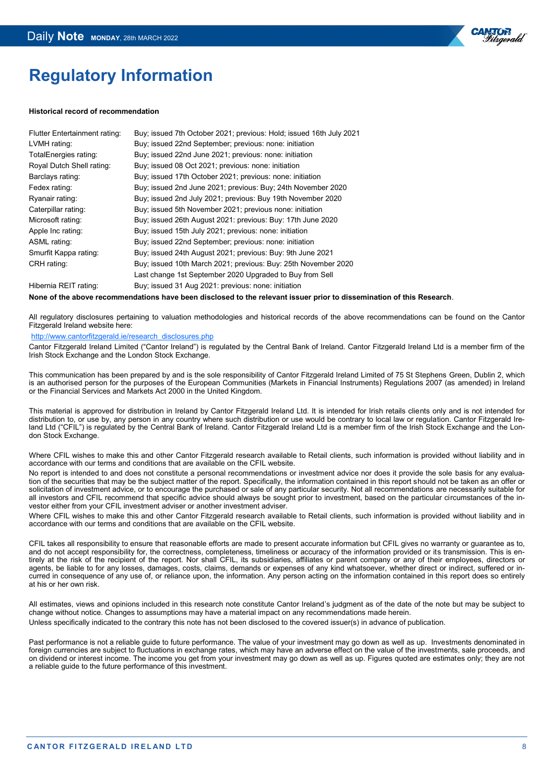

## **Regulatory Information**

#### **Historical record of recommendation**

| <b>Flutter Entertainment rating:</b> | Buy; issued 7th October 2021; previous: Hold; issued 16th July 2021 |
|--------------------------------------|---------------------------------------------------------------------|
| LVMH rating:                         | Buy; issued 22nd September; previous: none: initiation              |
| TotalEnergies rating:                | Buy; issued 22nd June 2021; previous: none: initiation              |
| Royal Dutch Shell rating:            | Buy; issued 08 Oct 2021; previous: none: initiation                 |
| Barclays rating:                     | Buy; issued 17th October 2021; previous: none: initiation           |
| Fedex rating:                        | Buy; issued 2nd June 2021; previous: Buy; 24th November 2020        |
| Ryanair rating:                      | Buy; issued 2nd July 2021; previous: Buy 19th November 2020         |
| Caterpillar rating:                  | Buy; issued 5th November 2021; previous none: initiation            |
| Microsoft rating:                    | Buy; issued 26th August 2021: previous: Buy: 17th June 2020         |
| Apple Inc rating:                    | Buy; issued 15th July 2021; previous: none: initiation              |
| ASML rating:                         | Buy; issued 22nd September; previous: none: initiation              |
| Smurfit Kappa rating:                | Buy; issued 24th August 2021; previous: Buy: 9th June 2021          |
| CRH rating:                          | Buy; issued 10th March 2021; previous: Buy: 25th November 2020      |
|                                      | Last change 1st September 2020 Upgraded to Buy from Sell            |
| Hibernia REIT rating:                | Buy; issued 31 Aug 2021: previous: none: initiation                 |

**None of the above recommendations have been disclosed to the relevant issuer prior to dissemination of this Research**.

All regulatory disclosures pertaining to valuation methodologies and historical records of the above recommendations can be found on the Cantor Fitzgerald Ireland website here:

#### [http://www.cantorfitzgerald.ie/research\\_disclosures.php](http://www.cantorfitzgerald.ie/research_disclosures.php)

Cantor Fitzgerald Ireland Limited ("Cantor Ireland") is regulated by the Central Bank of Ireland. Cantor Fitzgerald Ireland Ltd is a member firm of the Irish Stock Exchange and the London Stock Exchange.

This communication has been prepared by and is the sole responsibility of Cantor Fitzgerald Ireland Limited of 75 St Stephens Green, Dublin 2, which is an authorised person for the purposes of the European Communities (Markets in Financial Instruments) Regulations 2007 (as amended) in Ireland or the Financial Services and Markets Act 2000 in the United Kingdom.

This material is approved for distribution in Ireland by Cantor Fitzgerald Ireland Ltd. It is intended for Irish retails clients only and is not intended for distribution to, or use by, any person in any country where such distribution or use would be contrary to local law or regulation. Cantor Fitzgerald Ireland Ltd ("CFIL") is regulated by the Central Bank of Ireland. Cantor Fitzgerald Ireland Ltd is a member firm of the Irish Stock Exchange and the London Stock Exchange.

Where CFIL wishes to make this and other Cantor Fitzgerald research available to Retail clients, such information is provided without liability and in accordance with our terms and conditions that are available on the CFIL website.

No report is intended to and does not constitute a personal recommendations or investment advice nor does it provide the sole basis for any evaluation of the securities that may be the subject matter of the report. Specifically, the information contained in this report should not be taken as an offer or solicitation of investment advice, or to encourage the purchased or sale of any particular security. Not all recommendations are necessarily suitable for all investors and CFIL recommend that specific advice should always be sought prior to investment, based on the particular circumstances of the investor either from your CFIL investment adviser or another investment adviser.

Where CFIL wishes to make this and other Cantor Fitzgerald research available to Retail clients, such information is provided without liability and in accordance with our terms and conditions that are available on the CFIL website.

CFIL takes all responsibility to ensure that reasonable efforts are made to present accurate information but CFIL gives no warranty or guarantee as to, and do not accept responsibility for, the correctness, completeness, timeliness or accuracy of the information provided or its transmission. This is entirely at the risk of the recipient of the report. Nor shall CFIL, its subsidiaries, affiliates or parent company or any of their employees, directors or agents, be liable to for any losses, damages, costs, claims, demands or expenses of any kind whatsoever, whether direct or indirect, suffered or incurred in consequence of any use of, or reliance upon, the information. Any person acting on the information contained in this report does so entirely at his or her own risk.

All estimates, views and opinions included in this research note constitute Cantor Ireland's judgment as of the date of the note but may be subject to change without notice. Changes to assumptions may have a material impact on any recommendations made herein. Unless specifically indicated to the contrary this note has not been disclosed to the covered issuer(s) in advance of publication.

Past performance is not a reliable guide to future performance. The value of your investment may go down as well as up. Investments denominated in foreign currencies are subject to fluctuations in exchange rates, which may have an adverse effect on the value of the investments, sale proceeds, and on dividend or interest income. The income you get from your investment may go down as well as up. Figures quoted are estimates only; they are not a reliable guide to the future performance of this investment.